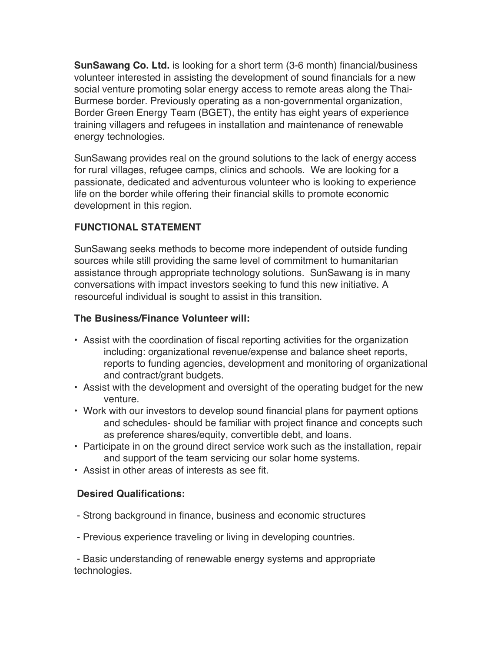**SunSawang Co. Ltd.** is looking for a short term (3-6 month) financial/business volunteer interested in assisting the development of sound financials for a new social venture promoting solar energy access to remote areas along the Thai-Burmese border. Previously operating as a non-governmental organization, Border Green Energy Team (BGET), the entity has eight years of experience training villagers and refugees in installation and maintenance of renewable energy technologies.

SunSawang provides real on the ground solutions to the lack of energy access for rural villages, refugee camps, clinics and schools. We are looking for a passionate, dedicated and adventurous volunteer who is looking to experience life on the border while offering their financial skills to promote economic development in this region.

# **FUNCTIONAL STATEMENT**

SunSawang seeks methods to become more independent of outside funding sources while still providing the same level of commitment to humanitarian assistance through appropriate technology solutions. SunSawang is in many conversations with impact investors seeking to fund this new initiative. A resourceful individual is sought to assist in this transition.

## **The Business/Finance Volunteer will:**

- Assist with the coordination of fiscal reporting activities for the organization including: organizational revenue/expense and balance sheet reports, reports to funding agencies, development and monitoring of organizational and contract/grant budgets.
- Assist with the development and oversight of the operating budget for the new venture.
- Work with our investors to develop sound financial plans for payment options and schedules- should be familiar with project finance and concepts such as preference shares/equity, convertible debt, and loans.
- Participate in on the ground direct service work such as the installation, repair and support of the team servicing our solar home systems.
- Assist in other areas of interests as see fit.

# **Desired Qualifications:**

- Strong background in finance, business and economic structures
- Previous experience traveling or living in developing countries.

- Basic understanding of renewable energy systems and appropriate technologies.